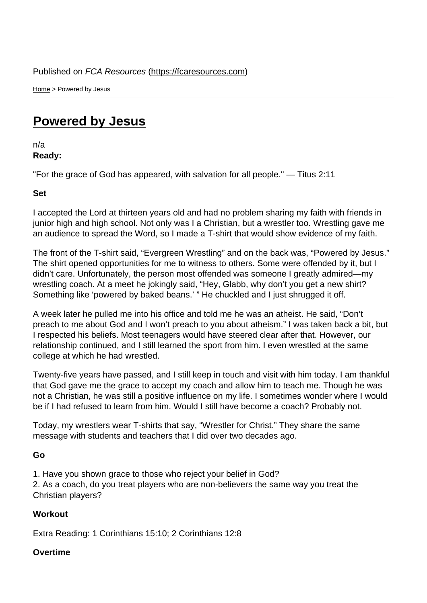Home > Powered by Jesus

## [Pow](https://fcaresources.com/)ered by Jesus

n/a [Ready:](https://fcaresources.com/devotional/powered-jesus) 

"For the grace of God has appeared, with salvation for all people." — Titus 2:11

Set

I accepted the Lord at thirteen years old and had no problem sharing my faith with friends in junior high and high school. Not only was I a Christian, but a wrestler too. Wrestling gave me an audience to spread the Word, so I made a T-shirt that would show evidence of my faith.

The front of the T-shirt said, "Evergreen Wrestling" and on the back was, "Powered by Jesus." The shirt opened opportunities for me to witness to others. Some were offended by it, but I didn't care. Unfortunately, the person most offended was someone I greatly admired—my wrestling coach. At a meet he jokingly said, "Hey, Glabb, why don't you get a new shirt? Something like 'powered by baked beans.' " He chuckled and I just shrugged it off.

A week later he pulled me into his office and told me he was an atheist. He said, "Don't preach to me about God and I won't preach to you about atheism." I was taken back a bit, but I respected his beliefs. Most teenagers would have steered clear after that. However, our relationship continued, and I still learned the sport from him. I even wrestled at the same college at which he had wrestled.

Twenty-five years have passed, and I still keep in touch and visit with him today. I am thankful that God gave me the grace to accept my coach and allow him to teach me. Though he was not a Christian, he was still a positive influence on my life. I sometimes wonder where I would be if I had refused to learn from him. Would I still have become a coach? Probably not.

Today, my wrestlers wear T-shirts that say, "Wrestler for Christ." They share the same message with students and teachers that I did over two decades ago.

Go

1. Have you shown grace to those who reject your belief in God?

2. As a coach, do you treat players who are non-believers the same way you treat the Christian players?

**Workout** 

Extra Reading: 1 Corinthians 15:10; 2 Corinthians 12:8

Overtime